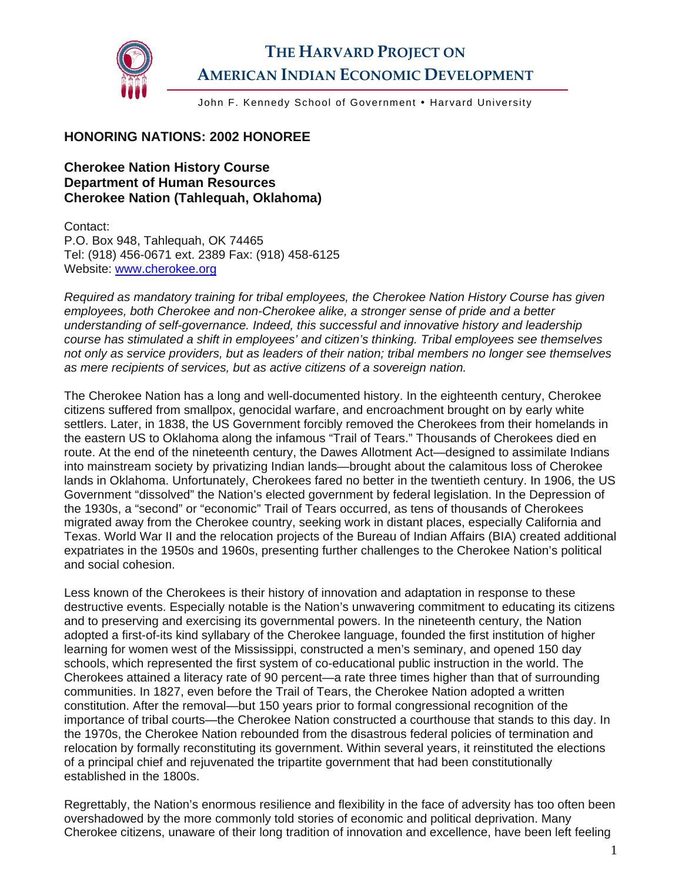

## **THE HARVARD PROJECT ON AMERICAN INDIAN ECONOMIC DEVELOPMENT**

John F. Kennedy School of Government • Harvard University

## **HONORING NATIONS: 2002 HONOREE**

## **Cherokee Nation History Course Department of Human Resources Cherokee Nation (Tahlequah, Oklahoma)**

Contact: P.O. Box 948, Tahlequah, OK 74465 Tel: (918) 456-0671 ext. 2389 Fax: (918) 458-6125 Website: [www.cherokee.org](http://www.cherokee.org/)

*Required as mandatory training for tribal employees, the Cherokee Nation History Course has given employees, both Cherokee and non-Cherokee alike, a stronger sense of pride and a better understanding of self-governance. Indeed, this successful and innovative history and leadership course has stimulated a shift in employees' and citizen's thinking. Tribal employees see themselves not only as service providers, but as leaders of their nation; tribal members no longer see themselves as mere recipients of services, but as active citizens of a sovereign nation.* 

The Cherokee Nation has a long and well-documented history. In the eighteenth century, Cherokee citizens suffered from smallpox, genocidal warfare, and encroachment brought on by early white settlers. Later, in 1838, the US Government forcibly removed the Cherokees from their homelands in the eastern US to Oklahoma along the infamous "Trail of Tears." Thousands of Cherokees died en route. At the end of the nineteenth century, the Dawes Allotment Act—designed to assimilate Indians into mainstream society by privatizing Indian lands—brought about the calamitous loss of Cherokee lands in Oklahoma. Unfortunately, Cherokees fared no better in the twentieth century. In 1906, the US Government "dissolved" the Nation's elected government by federal legislation. In the Depression of the 1930s, a "second" or "economic" Trail of Tears occurred, as tens of thousands of Cherokees migrated away from the Cherokee country, seeking work in distant places, especially California and Texas. World War II and the relocation projects of the Bureau of Indian Affairs (BIA) created additional expatriates in the 1950s and 1960s, presenting further challenges to the Cherokee Nation's political and social cohesion.

Less known of the Cherokees is their history of innovation and adaptation in response to these destructive events. Especially notable is the Nation's unwavering commitment to educating its citizens and to preserving and exercising its governmental powers. In the nineteenth century, the Nation adopted a first-of-its kind syllabary of the Cherokee language, founded the first institution of higher learning for women west of the Mississippi, constructed a men's seminary, and opened 150 day schools, which represented the first system of co-educational public instruction in the world. The Cherokees attained a literacy rate of 90 percent—a rate three times higher than that of surrounding communities. In 1827, even before the Trail of Tears, the Cherokee Nation adopted a written constitution. After the removal—but 150 years prior to formal congressional recognition of the importance of tribal courts—the Cherokee Nation constructed a courthouse that stands to this day. In the 1970s, the Cherokee Nation rebounded from the disastrous federal policies of termination and relocation by formally reconstituting its government. Within several years, it reinstituted the elections of a principal chief and rejuvenated the tripartite government that had been constitutionally established in the 1800s.

Regrettably, the Nation's enormous resilience and flexibility in the face of adversity has too often been overshadowed by the more commonly told stories of economic and political deprivation. Many Cherokee citizens, unaware of their long tradition of innovation and excellence, have been left feeling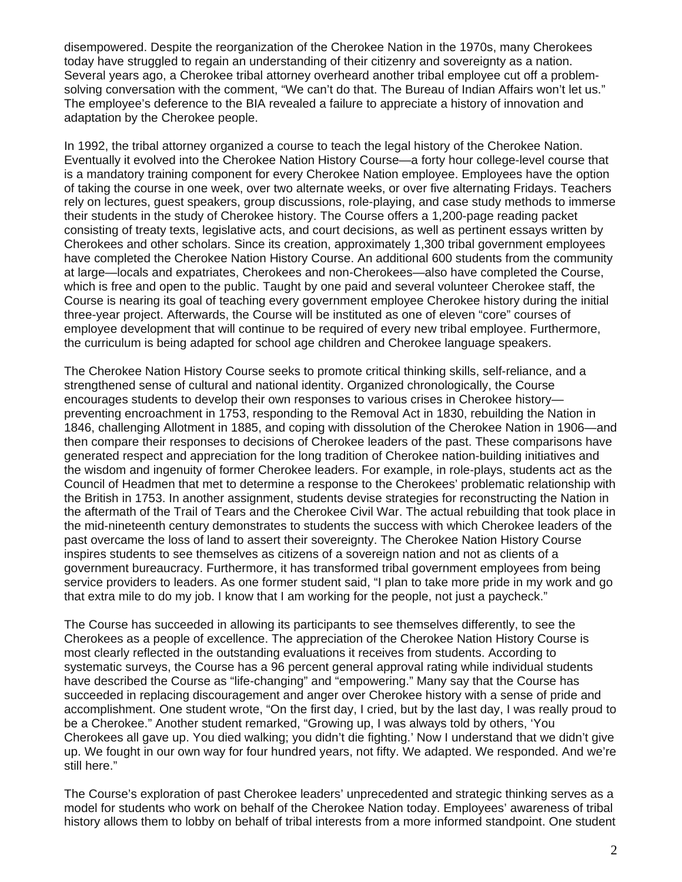disempowered. Despite the reorganization of the Cherokee Nation in the 1970s, many Cherokees today have struggled to regain an understanding of their citizenry and sovereignty as a nation. Several years ago, a Cherokee tribal attorney overheard another tribal employee cut off a problemsolving conversation with the comment, "We can't do that. The Bureau of Indian Affairs won't let us." The employee's deference to the BIA revealed a failure to appreciate a history of innovation and adaptation by the Cherokee people.

In 1992, the tribal attorney organized a course to teach the legal history of the Cherokee Nation. Eventually it evolved into the Cherokee Nation History Course—a forty hour college-level course that is a mandatory training component for every Cherokee Nation employee. Employees have the option of taking the course in one week, over two alternate weeks, or over five alternating Fridays. Teachers rely on lectures, guest speakers, group discussions, role-playing, and case study methods to immerse their students in the study of Cherokee history. The Course offers a 1,200-page reading packet consisting of treaty texts, legislative acts, and court decisions, as well as pertinent essays written by Cherokees and other scholars. Since its creation, approximately 1,300 tribal government employees have completed the Cherokee Nation History Course. An additional 600 students from the community at large—locals and expatriates, Cherokees and non-Cherokees—also have completed the Course, which is free and open to the public. Taught by one paid and several volunteer Cherokee staff, the Course is nearing its goal of teaching every government employee Cherokee history during the initial three-year project. Afterwards, the Course will be instituted as one of eleven "core" courses of employee development that will continue to be required of every new tribal employee. Furthermore, the curriculum is being adapted for school age children and Cherokee language speakers.

The Cherokee Nation History Course seeks to promote critical thinking skills, self-reliance, and a strengthened sense of cultural and national identity. Organized chronologically, the Course encourages students to develop their own responses to various crises in Cherokee history preventing encroachment in 1753, responding to the Removal Act in 1830, rebuilding the Nation in 1846, challenging Allotment in 1885, and coping with dissolution of the Cherokee Nation in 1906—and then compare their responses to decisions of Cherokee leaders of the past. These comparisons have generated respect and appreciation for the long tradition of Cherokee nation-building initiatives and the wisdom and ingenuity of former Cherokee leaders. For example, in role-plays, students act as the Council of Headmen that met to determine a response to the Cherokees' problematic relationship with the British in 1753. In another assignment, students devise strategies for reconstructing the Nation in the aftermath of the Trail of Tears and the Cherokee Civil War. The actual rebuilding that took place in the mid-nineteenth century demonstrates to students the success with which Cherokee leaders of the past overcame the loss of land to assert their sovereignty. The Cherokee Nation History Course inspires students to see themselves as citizens of a sovereign nation and not as clients of a government bureaucracy. Furthermore, it has transformed tribal government employees from being service providers to leaders. As one former student said, "I plan to take more pride in my work and go that extra mile to do my job. I know that I am working for the people, not just a paycheck."

The Course has succeeded in allowing its participants to see themselves differently, to see the Cherokees as a people of excellence. The appreciation of the Cherokee Nation History Course is most clearly reflected in the outstanding evaluations it receives from students. According to systematic surveys, the Course has a 96 percent general approval rating while individual students have described the Course as "life-changing" and "empowering." Many say that the Course has succeeded in replacing discouragement and anger over Cherokee history with a sense of pride and accomplishment. One student wrote, "On the first day, I cried, but by the last day, I was really proud to be a Cherokee." Another student remarked, "Growing up, I was always told by others, 'You Cherokees all gave up. You died walking; you didn't die fighting.' Now I understand that we didn't give up. We fought in our own way for four hundred years, not fifty. We adapted. We responded. And we're still here."

The Course's exploration of past Cherokee leaders' unprecedented and strategic thinking serves as a model for students who work on behalf of the Cherokee Nation today. Employees' awareness of tribal history allows them to lobby on behalf of tribal interests from a more informed standpoint. One student